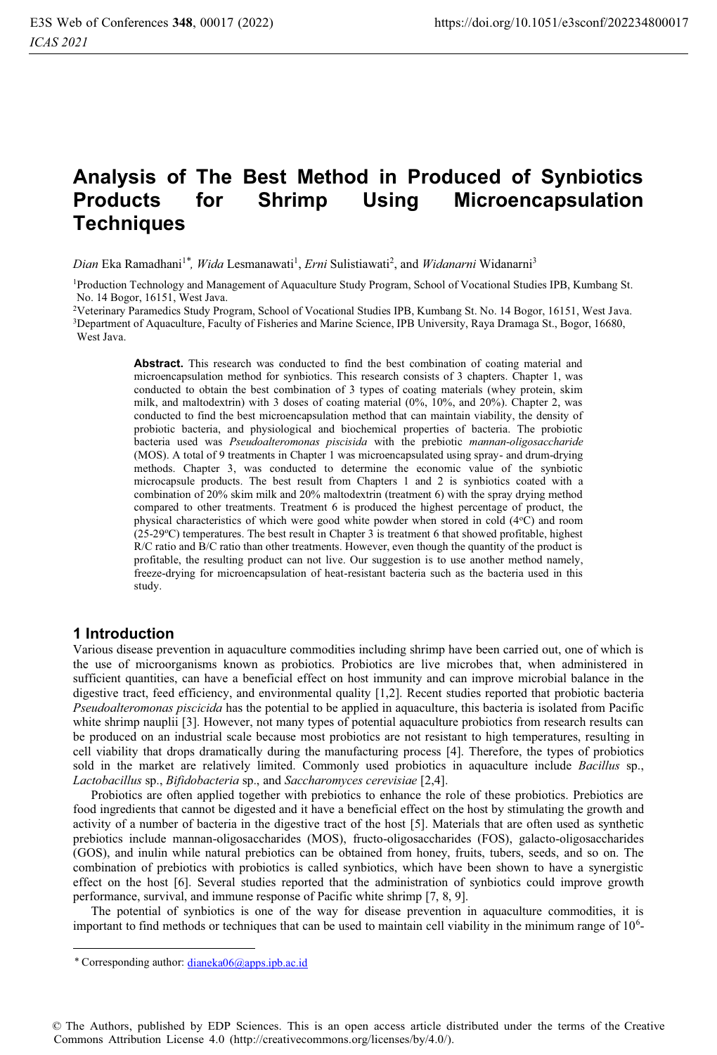# **Analysis of The Best Method in Produced of Synbiotics Products for Shrimp Using Microencapsulation Techniques**

Di*an* Eka Ramadhani<sup>1\*</sup>, *Wida* Lesmanawati<sup>1</sup>, *Erni* Sulistiawati<sup>2</sup>, and *Widanarni* Widanarni<sup>3</sup>

1Production Technology and Management of Aquaculture Study Program, School of Vocational Studies IPB, Kumbang St. No. 14 Bogor, 16151, West Java.

2Veterinary Paramedics Study Program, School of Vocational Studies IPB, Kumbang St. No. 14 Bogor, 16151, West Java. 3Department of Aquaculture, Faculty of Fisheries and Marine Science, IPB University, Raya Dramaga St., Bogor, 16680, West Java.

> Abstract. This research was conducted to find the best combination of coating material and microencapsulation method for synbiotics. This research consists of 3 chapters. Chapter 1, was conducted to obtain the best combination of 3 types of coating materials (whey protein, skim milk, and maltodextrin) with 3 doses of coating material (0%, 10%, and 20%). Chapter 2, was conducted to find the best microencapsulation method that can maintain viability, the density of probiotic bacteria, and physiological and biochemical properties of bacteria. The probiotic bacteria used was *Pseudoalteromonas piscisida* with the prebiotic *mannan-oligosaccharide*  (MOS). A total of 9 treatments in Chapter 1 was microencapsulated using spray- and drum-drying methods. Chapter 3, was conducted to determine the economic value of the synbiotic microcapsule products. The best result from Chapters 1 and 2 is synbiotics coated with a combination of 20% skim milk and 20% maltodextrin (treatment 6) with the spray drying method compared to other treatments. Treatment 6 is produced the highest percentage of product, the physical characteristics of which were good white powder when stored in cold (4°C) and room  $(25-29\text{°C})$  temperatures. The best result in Chapter 3 is treatment 6 that showed profitable, highest R/C ratio and B/C ratio than other treatments. However, even though the quantity of the product is profitable, the resulting product can not live. Our suggestion is to use another method namely, freeze-drying for microencapsulation of heat-resistant bacteria such as the bacteria used in this study.

## **1 Introduction**

Various disease prevention in aquaculture commodities including shrimp have been carried out, one of which is the use of microorganisms known as probiotics. Probiotics are live microbes that, when administered in sufficient quantities, can have a beneficial effect on host immunity and can improve microbial balance in the digestive tract, feed efficiency, and environmental quality [1,2]. Recent studies reported that probiotic bacteria *Pseudoalteromonas piscicida* has the potential to be applied in aquaculture, this bacteria is isolated from Pacific white shrimp nauplii [3]. However, not many types of potential aquaculture probiotics from research results can be produced on an industrial scale because most probiotics are not resistant to high temperatures, resulting in cell viability that drops dramatically during the manufacturing process [4]. Therefore, the types of probiotics sold in the market are relatively limited. Commonly used probiotics in aquaculture include *Bacillus* sp., *Lactobacillus* sp., *Bifidobacteria* sp., and *Saccharomyces cerevisiae* [2,4].

Probiotics are often applied together with prebiotics to enhance the role of these probiotics. Prebiotics are food ingredients that cannot be digested and it have a beneficial effect on the host by stimulating the growth and activity of a number of bacteria in the digestive tract of the host [5]. Materials that are often used as synthetic prebiotics include mannan-oligosaccharides (MOS), fructo-oligosaccharides (FOS), galacto-oligosaccharides (GOS), and inulin while natural prebiotics can be obtained from honey, fruits, tubers, seeds, and so on. The combination of prebiotics with probiotics is called synbiotics, which have been shown to have a synergistic effect on the host [6]. Several studies reported that the administration of synbiotics could improve growth performance, survival, and immune response of Pacific white shrimp [7, 8, 9].

The potential of synbiotics is one of the way for disease prevention in aquaculture commodities, it is important to find methods or techniques that can be used to maintain cell viability in the minimum range of  $10<sup>6</sup>$ -

<sup>\*</sup> Corresponding author: *dianeka06@apps.ipb.ac.id* 

<sup>©</sup> The Authors, published by EDP Sciences. This is an open access article distributed under the terms of the Creative Commons Attribution License 4.0 (http://creativecommons.org/licenses/by/4.0/).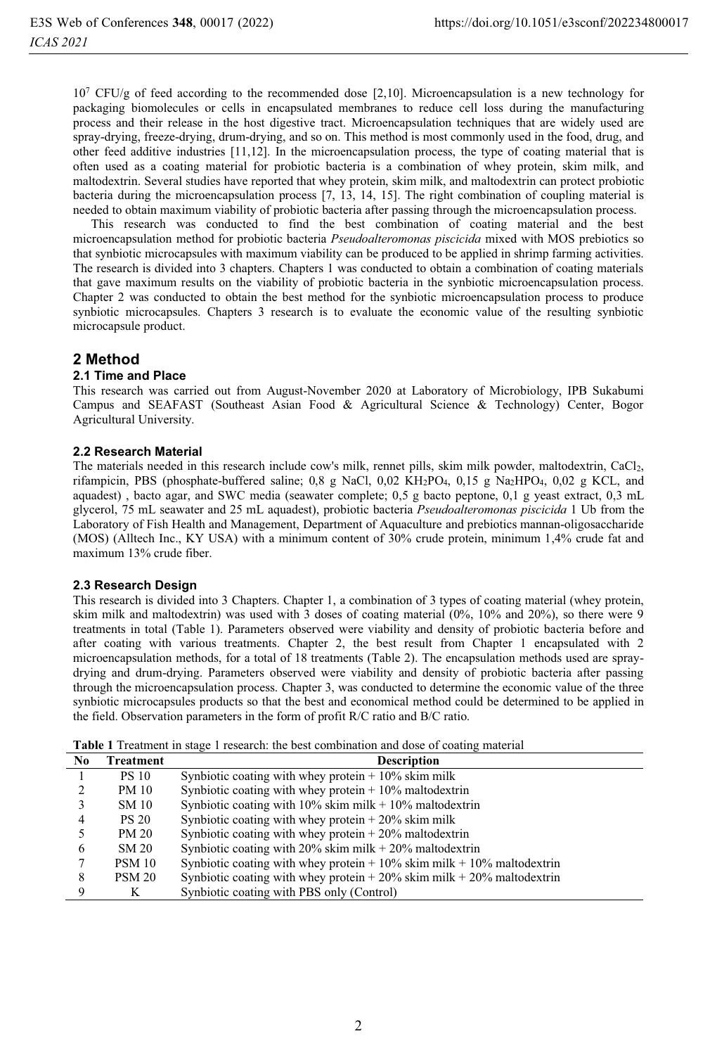107 CFU/g of feed according to the recommended dose [2,10]. Microencapsulation is a new technology for packaging biomolecules or cells in encapsulated membranes to reduce cell loss during the manufacturing process and their release in the host digestive tract. Microencapsulation techniques that are widely used are spray-drying, freeze-drying, drum-drying, and so on. This method is most commonly used in the food, drug, and other feed additive industries [11,12]. In the microencapsulation process, the type of coating material that is often used as a coating material for probiotic bacteria is a combination of whey protein, skim milk, and maltodextrin. Several studies have reported that whey protein, skim milk, and maltodextrin can protect probiotic bacteria during the microencapsulation process [7, 13, 14, 15]. The right combination of coupling material is needed to obtain maximum viability of probiotic bacteria after passing through the microencapsulation process.

This research was conducted to find the best combination of coating material and the best microencapsulation method for probiotic bacteria *Pseudoalteromonas piscicida* mixed with MOS prebiotics so that synbiotic microcapsules with maximum viability can be produced to be applied in shrimp farming activities. The research is divided into 3 chapters. Chapters 1 was conducted to obtain a combination of coating materials that gave maximum results on the viability of probiotic bacteria in the synbiotic microencapsulation process. Chapter 2 was conducted to obtain the best method for the synbiotic microencapsulation process to produce synbiotic microcapsules. Chapters 3 research is to evaluate the economic value of the resulting synbiotic microcapsule product.

# **2 Method**

## **2.1 Time and Place**

This research was carried out from August-November 2020 at Laboratory of Microbiology, IPB Sukabumi Campus and SEAFAST (Southeast Asian Food & Agricultural Science & Technology) Center, Bogor Agricultural University.

## **2.2 Research Material**

The materials needed in this research include cow's milk, rennet pills, skim milk powder, maltodextrin, CaCl<sub>2</sub>, rifampicin, PBS (phosphate-buffered saline; 0,8 g NaCl, 0,02 KH2PO4, 0,15 g Na2HPO4, 0,02 g KCL, and aquadest) , bacto agar, and SWC media (seawater complete; 0,5 g bacto peptone, 0,1 g yeast extract, 0,3 mL glycerol, 75 mL seawater and 25 mL aquadest), probiotic bacteria *Pseudoalteromonas piscicida* 1 Ub from the Laboratory of Fish Health and Management, Department of Aquaculture and prebiotics mannan-oligosaccharide (MOS) (Alltech Inc., KY USA) with a minimum content of 30% crude protein, minimum 1,4% crude fat and maximum 13% crude fiber.

#### **2.3 Research Design**

This research is divided into 3 Chapters. Chapter 1, a combination of 3 types of coating material (whey protein, skim milk and maltodextrin) was used with 3 doses of coating material (0%, 10% and 20%), so there were 9 treatments in total (Table 1). Parameters observed were viability and density of probiotic bacteria before and after coating with various treatments. Chapter 2, the best result from Chapter 1 encapsulated with 2 microencapsulation methods, for a total of 18 treatments (Table 2). The encapsulation methods used are spraydrying and drum-drying. Parameters observed were viability and density of probiotic bacteria after passing through the microencapsulation process. Chapter 3, was conducted to determine the economic value of the three synbiotic microcapsules products so that the best and economical method could be determined to be applied in the field. Observation parameters in the form of profit R/C ratio and B/C ratio.

| <b>Table 1</b> Treatment in stage 1 research: the best combination and dose of coating material |  |
|-------------------------------------------------------------------------------------------------|--|
|-------------------------------------------------------------------------------------------------|--|

| No | Treatment     | <b>Description</b>                                                         |
|----|---------------|----------------------------------------------------------------------------|
|    | <b>PS 10</b>  | Synbiotic coating with whey protein $+10\%$ skim milk                      |
|    | PM 10         | Synbiotic coating with whey protein $+10\%$ maltodextrin                   |
|    | <b>SM 10</b>  | Synbiotic coating with $10\%$ skim milk + $10\%$ maltodextrin              |
| 4  | <b>PS 20</b>  | Synbiotic coating with whey protein $+20\%$ skim milk                      |
|    | PM 20         | Synbiotic coating with whey protein $+20\%$ maltodextrin                   |
| 6  | SM 20         | Synbiotic coating with $20\%$ skim milk + $20\%$ maltodextrin              |
|    | <b>PSM 10</b> | Synbiotic coating with whey protein $+10\%$ skim milk $+10\%$ maltodextrin |
| 8  | <b>PSM 20</b> | Synbiotic coating with whey protein $+20\%$ skim milk $+20\%$ maltodextrin |
| Q  | K             | Synbiotic coating with PBS only (Control)                                  |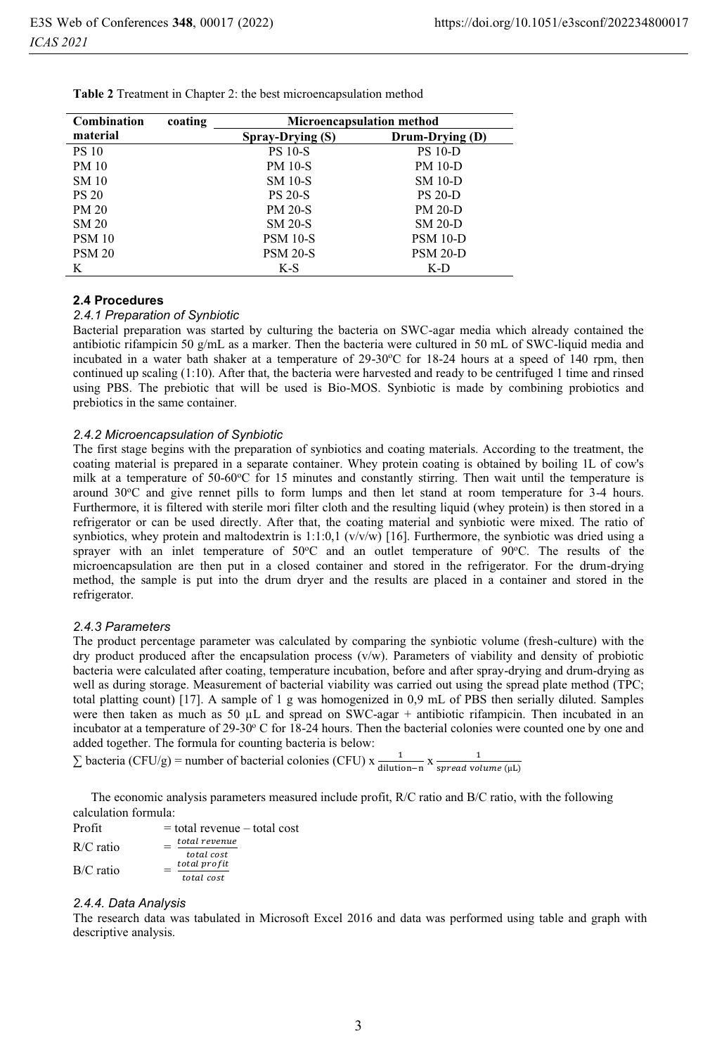| Combination   | coating | <b>Microencapsulation method</b> |                 |  |  |  |
|---------------|---------|----------------------------------|-----------------|--|--|--|
| material      |         | Spray-Drying (S)                 | Drum-Drying (D) |  |  |  |
| <b>PS 10</b>  |         | <b>PS 10-S</b>                   | <b>PS 10-D</b>  |  |  |  |
| <b>PM 10</b>  |         | <b>PM 10-S</b>                   | <b>PM 10-D</b>  |  |  |  |
| <b>SM 10</b>  |         | <b>SM 10-S</b>                   | <b>SM 10-D</b>  |  |  |  |
| <b>PS 20</b>  |         | <b>PS 20-S</b>                   | <b>PS 20-D</b>  |  |  |  |
| <b>PM 20</b>  |         | <b>PM 20-S</b>                   | <b>PM 20-D</b>  |  |  |  |
| <b>SM 20</b>  |         | <b>SM 20-S</b>                   | <b>SM 20-D</b>  |  |  |  |
| <b>PSM 10</b> |         | <b>PSM 10-S</b>                  | <b>PSM 10-D</b> |  |  |  |
| <b>PSM 20</b> |         | <b>PSM 20-S</b>                  | <b>PSM 20-D</b> |  |  |  |
| K             |         | K-S                              | K-D             |  |  |  |

**Table 2** Treatment in Chapter 2: the best microencapsulation method

# **2.4 Procedures**

## *2.4.1 Preparation of Synbiotic*

Bacterial preparation was started by culturing the bacteria on SWC-agar media which already contained the antibiotic rifampicin 50 g/mL as a marker. Then the bacteria were cultured in 50 mL of SWC-liquid media and incubated in a water bath shaker at a temperature of  $29-30^{\circ}$ C for  $18-24$  hours at a speed of 140 rpm, then continued up scaling (1:10). After that, the bacteria were harvested and ready to be centrifuged 1 time and rinsed using PBS. The prebiotic that will be used is Bio-MOS. Synbiotic is made by combining probiotics and prebiotics in the same container.

## *2.4.2 Microencapsulation of Synbiotic*

The first stage begins with the preparation of synbiotics and coating materials. According to the treatment, the coating material is prepared in a separate container. Whey protein coating is obtained by boiling 1L of cow's milk at a temperature of 50-60°C for 15 minutes and constantly stirring. Then wait until the temperature is around 30°C and give rennet pills to form lumps and then let stand at room temperature for 3-4 hours. Furthermore, it is filtered with sterile mori filter cloth and the resulting liquid (whey protein) is then stored in a refrigerator or can be used directly. After that, the coating material and synbiotic were mixed. The ratio of synbiotics, whey protein and maltodextrin is 1:1:0,1 (v/v/w) [16]. Furthermore, the synbiotic was dried using a sprayer with an inlet temperature of 50°C and an outlet temperature of 90°C. The results of the microencapsulation are then put in a closed container and stored in the refrigerator. For the drum-drying method, the sample is put into the drum dryer and the results are placed in a container and stored in the refrigerator.

## *2.4.3 Parameters*

The product percentage parameter was calculated by comparing the synbiotic volume (fresh-culture) with the dry product produced after the encapsulation process  $(v/w)$ . Parameters of viability and density of probiotic bacteria were calculated after coating, temperature incubation, before and after spray-drying and drum-drying as well as during storage. Measurement of bacterial viability was carried out using the spread plate method (TPC; total platting count) [17]. A sample of 1 g was homogenized in 0,9 mL of PBS then serially diluted. Samples were then taken as much as 50 µL and spread on SWC-agar + antibiotic rifampicin. Then incubated in an incubator at a temperature of 29-30° C for 18-24 hours. Then the bacterial colonies were counted one by one and added together. The formula for counting bacteria is below:

 $\sum$  bacteria (CFU/g) = number of bacterial colonies (CFU) x  $\frac{1}{\text{dilution-n}}$  x  $\frac{1}{\text{spread volume (ul)}}$ 

The economic analysis parameters measured include profit, R/C ratio and B/C ratio, with the following calculation formula:

 $Profit = total revenue - total cost$  $R/C$  ratio  $=$   $\frac{total \, revenue}{}$ total cost  $B/C$  ratio  $=$   $\frac{total\,profit}{}$ total cost

#### *2.4.4. Data Analysis*

The research data was tabulated in Microsoft Excel 2016 and data was performed using table and graph with descriptive analysis.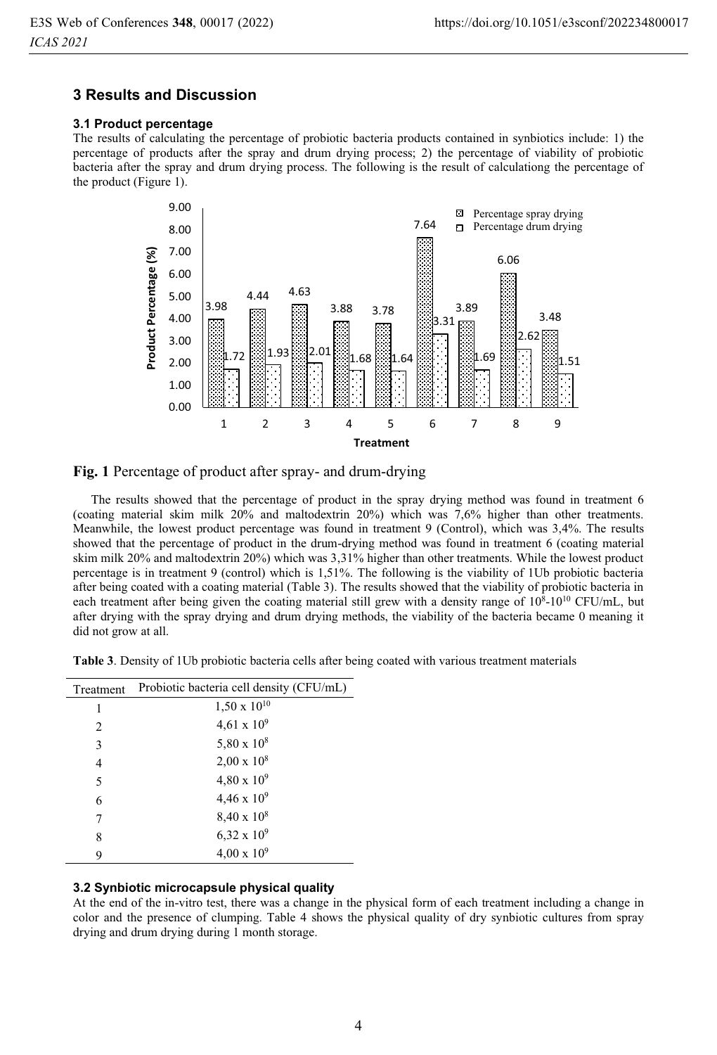# **3 Results and Discussion**

#### **3.1 Product percentage**

The results of calculating the percentage of probiotic bacteria products contained in synbiotics include: 1) the percentage of products after the spray and drum drying process; 2) the percentage of viability of probiotic bacteria after the spray and drum drying process. The following is the result of calculationg the percentage of the product (Figure 1).





The results showed that the percentage of product in the spray drying method was found in treatment 6 (coating material skim milk 20% and maltodextrin 20%) which was 7,6% higher than other treatments. Meanwhile, the lowest product percentage was found in treatment 9 (Control), which was 3,4%. The results showed that the percentage of product in the drum-drying method was found in treatment 6 (coating material skim milk 20% and maltodextrin 20%) which was 3,31% higher than other treatments. While the lowest product percentage is in treatment 9 (control) which is 1,51%. The following is the viability of 1Ub probiotic bacteria after being coated with a coating material (Table 3). The results showed that the viability of probiotic bacteria in each treatment after being given the coating material still grew with a density range of  $10^8 \text{--} 10^{10}$  CFU/mL, but after drying with the spray drying and drum drying methods, the viability of the bacteria became 0 meaning it did not grow at all.

**Table 3**. Density of 1Ub probiotic bacteria cells after being coated with various treatment materials

| Treatment | Probiotic bacteria cell density (CFU/mL) |
|-----------|------------------------------------------|
| 1         | $1,50 \times 10^{10}$                    |
| 2         | $4,61 \times 10^{9}$                     |
| 3         | 5,80 x $10^8$                            |
| 4         | $2,00 \times 10^8$                       |
| 5         | $4,80 \times 10^{9}$                     |
| 6         | $4,46 \times 10^{9}$                     |
| 7         | $8,40 \times 10^8$                       |
| 8         | $6,32 \times 10^9$                       |
| 9         | $4,00 \times 10^9$                       |

#### **3.2 Synbiotic microcapsule physical quality**

At the end of the in-vitro test, there was a change in the physical form of each treatment including a change in color and the presence of clumping. Table 4 shows the physical quality of dry synbiotic cultures from spray drying and drum drying during 1 month storage.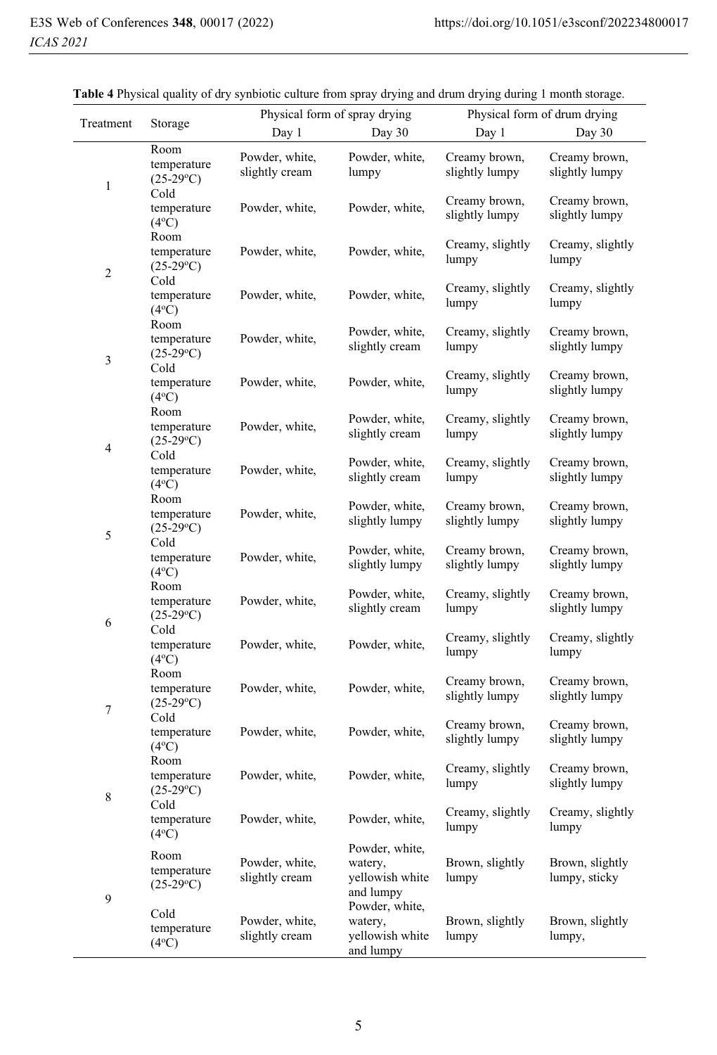|              |                                             |                                  | Physical form of spray drying                             | Physical form of drum drying    |                                  |  |  |
|--------------|---------------------------------------------|----------------------------------|-----------------------------------------------------------|---------------------------------|----------------------------------|--|--|
| Treatment    | Storage                                     | Day 1                            | Day $30$                                                  | Day 1                           | Day $30$                         |  |  |
| $\mathbf{1}$ | Room<br>temperature<br>$(25-29^{\circ}C)$   | Powder, white,<br>slightly cream | Powder, white,<br>lumpy                                   | Creamy brown,<br>slightly lumpy | Creamy brown,<br>slightly lumpy  |  |  |
|              | Cold<br>temperature<br>$(4^{\circ}C)$       | Powder, white,                   | Powder, white,                                            | Creamy brown,<br>slightly lumpy | Creamy brown,<br>slightly lumpy  |  |  |
|              | Room<br>temperature<br>$(25-29$ °C)         | Powder, white,                   | Powder, white,                                            | Creamy, slightly<br>lumpy       | Creamy, slightly<br>lumpy        |  |  |
| $\sqrt{2}$   | Cold<br>temperature<br>$(4^{\circ}C)$       | Powder, white,                   | Powder, white,                                            | Creamy, slightly<br>lumpy       | Creamy, slightly<br>lumpy        |  |  |
| 3            | Room<br>temperature<br>$(25-29$ °C)<br>Cold | Powder, white,                   | Powder, white,<br>slightly cream                          | Creamy, slightly<br>lumpy       | Creamy brown,<br>slightly lumpy  |  |  |
|              | temperature<br>$(4^{\circ}C)$               | Powder, white,                   | Powder, white,                                            | Creamy, slightly<br>lumpy       | Creamy brown,<br>slightly lumpy  |  |  |
| 4            | Room<br>temperature<br>$(25-29$ °C)         | Powder, white,                   | Powder, white,<br>slightly cream                          | Creamy, slightly<br>lumpy       | Creamy brown,<br>slightly lumpy  |  |  |
|              | Cold<br>temperature<br>$(4^{\circ}C)$       | Powder, white,                   | Powder, white,<br>slightly cream                          | Creamy, slightly<br>lumpy       | Creamy brown,<br>slightly lumpy  |  |  |
|              | Room<br>temperature<br>$(25-29^{\circ}C)$   | Powder, white,                   | Powder, white,<br>slightly lumpy                          | Creamy brown,<br>slightly lumpy | Creamy brown,<br>slightly lumpy  |  |  |
| 5            | Cold<br>temperature<br>$(4^{\circ}C)$       | Powder, white,                   | Powder, white,<br>slightly lumpy                          | Creamy brown,<br>slightly lumpy | Creamy brown,<br>slightly lumpy  |  |  |
| 6            | Room<br>temperature<br>$(25-29^{\circ}C)$   | Powder, white,                   | Powder, white,<br>slightly cream                          | Creamy, slightly<br>lumpy       | Creamy brown,<br>slightly lumpy  |  |  |
|              | Cold<br>temperature<br>$(4^{\circ}C)$       | Powder, white,                   | Powder, white,                                            | Creamy, slightly<br>lumpy       | Creamy, slightly<br>lumpy        |  |  |
| 7            | Room<br>temperature<br>$(25-29$ °C)         | Powder, white,                   | Powder, white,                                            | Creamy brown,<br>slightly lumpy | Creamy brown,<br>slightly lumpy  |  |  |
|              | Cold<br>temperature<br>$(4^{\circ}C)$       | Powder, white,                   | Powder, white,                                            | Creamy brown,<br>slightly lumpy | Creamy brown,<br>slightly lumpy  |  |  |
|              | Room<br>temperature<br>$(25-29$ °C)         | Powder, white,                   | Powder, white,                                            | Creamy, slightly<br>lumpy       | Creamy brown,<br>slightly lumpy  |  |  |
| $\,$ 8 $\,$  | Cold<br>temperature<br>$(4^{\circ}C)$       | Powder, white,                   | Powder, white,                                            | Creamy, slightly<br>lumpy       | Creamy, slightly<br>lumpy        |  |  |
| 9            | Room<br>temperature<br>$(25-29^{\circ}C)$   | Powder, white,<br>slightly cream | Powder, white,<br>watery,<br>yellowish white<br>and lumpy | Brown, slightly<br>lumpy        | Brown, slightly<br>lumpy, sticky |  |  |
|              | Cold<br>temperature<br>$(4^{\circ}C)$       | Powder, white,<br>slightly cream | Powder, white,<br>watery,<br>yellowish white<br>and lumpy | Brown, slightly<br>lumpy        | Brown, slightly<br>lumpy,        |  |  |

|  |  |  |  |  |  |  |  |  |  |  | Table 4 Physical quality of dry synbiotic culture from spray drying and drum drying during 1 month storage. |  |
|--|--|--|--|--|--|--|--|--|--|--|-------------------------------------------------------------------------------------------------------------|--|
|--|--|--|--|--|--|--|--|--|--|--|-------------------------------------------------------------------------------------------------------------|--|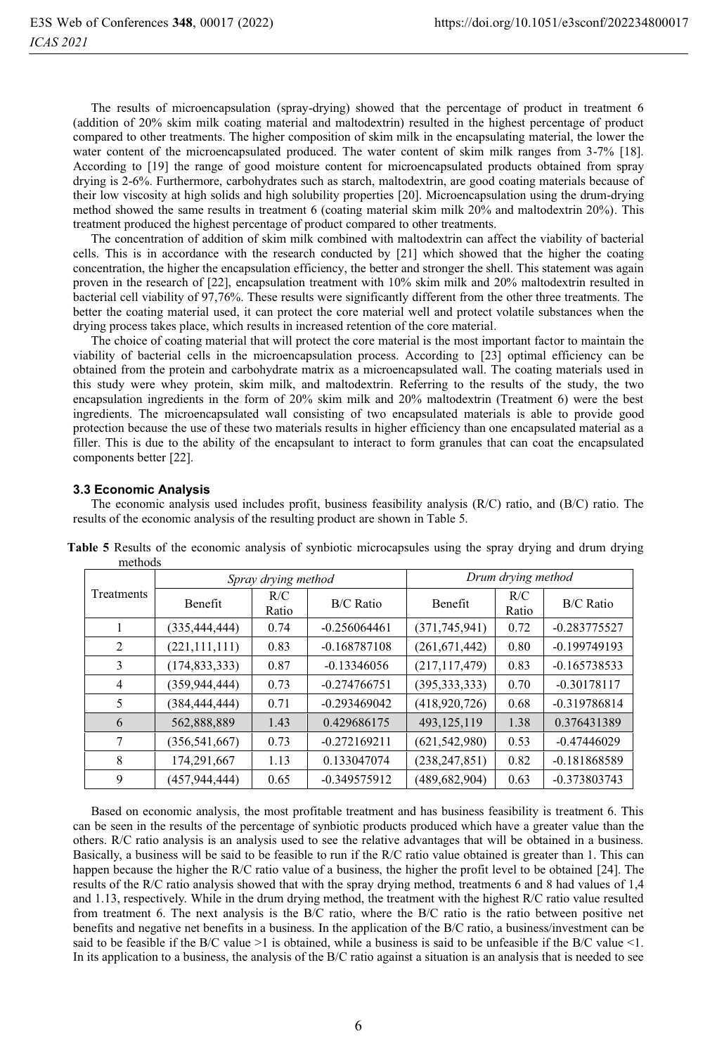The results of microencapsulation (spray-drying) showed that the percentage of product in treatment 6 (addition of 20% skim milk coating material and maltodextrin) resulted in the highest percentage of product compared to other treatments. The higher composition of skim milk in the encapsulating material, the lower the water content of the microencapsulated produced. The water content of skim milk ranges from 3-7% [18]. According to [19] the range of good moisture content for microencapsulated products obtained from spray drying is 2-6%. Furthermore, carbohydrates such as starch, maltodextrin, are good coating materials because of their low viscosity at high solids and high solubility properties [20]. Microencapsulation using the drum-drying method showed the same results in treatment 6 (coating material skim milk 20% and maltodextrin 20%). This treatment produced the highest percentage of product compared to other treatments.

The concentration of addition of skim milk combined with maltodextrin can affect the viability of bacterial cells. This is in accordance with the research conducted by [21] which showed that the higher the coating concentration, the higher the encapsulation efficiency, the better and stronger the shell. This statement was again proven in the research of [22], encapsulation treatment with 10% skim milk and 20% maltodextrin resulted in bacterial cell viability of 97,76%. These results were significantly different from the other three treatments. The better the coating material used, it can protect the core material well and protect volatile substances when the drying process takes place, which results in increased retention of the core material.

The choice of coating material that will protect the core material is the most important factor to maintain the viability of bacterial cells in the microencapsulation process. According to [23] optimal efficiency can be obtained from the protein and carbohydrate matrix as a microencapsulated wall. The coating materials used in this study were whey protein, skim milk, and maltodextrin. Referring to the results of the study, the two encapsulation ingredients in the form of 20% skim milk and 20% maltodextrin (Treatment 6) were the best ingredients. The microencapsulated wall consisting of two encapsulated materials is able to provide good protection because the use of these two materials results in higher efficiency than one encapsulated material as a filler. This is due to the ability of the encapsulant to interact to form granules that can coat the encapsulated components better [22].

#### **3.3 Economic Analysis**

The economic analysis used includes profit, business feasibility analysis (R/C) ratio, and (B/C) ratio. The results of the economic analysis of the resulting product are shown in Table 5.

|                |                 | Spray drying method | Drum drying method |                 |              |                |
|----------------|-----------------|---------------------|--------------------|-----------------|--------------|----------------|
| Treatments     | <b>Benefit</b>  | R/C<br>Ratio        | <b>B/C</b> Ratio   | <b>Benefit</b>  | R/C<br>Ratio | B/C Ratio      |
|                | (335, 444, 444) | 0.74                | $-0.256064461$     | (371, 745, 941) | 0.72         | $-0.283775527$ |
| 2              | (221, 111, 111) | 0.83                | $-0.168787108$     | (261, 671, 442) | 0.80         | $-0.199749193$ |
| 3              | (174, 833, 333) | 0.87                | $-0.13346056$      | (217, 117, 479) | 0.83         | $-0.165738533$ |
| $\overline{4}$ | (359, 944, 444) | 0.73                | $-0.274766751$     | (395, 333, 333) | 0.70         | $-0.30178117$  |
| 5              | (384, 444, 444) | 0.71                | $-0.293469042$     | (418,920,726)   | 0.68         | $-0.319786814$ |
| 6              | 562,888,889     | 1.43                | 0.429686175        | 493,125,119     | 1.38         | 0.376431389    |
| 7              | (356, 541, 667) | 0.73                | $-0.272169211$     | (621, 542, 980) | 0.53         | $-0.47446029$  |
| 8              | 174,291,667     | 1.13                | 0.133047074        | (238, 247, 851) | 0.82         | -0.181868589   |
| 9              | (457,944,444)   | 0.65                | -0.349575912       | (489, 682, 904) | 0.63         | $-0.373803743$ |

**Table 5** Results of the economic analysis of synbiotic microcapsules using the spray drying and drum drying methods

Based on economic analysis, the most profitable treatment and has business feasibility is treatment 6. This can be seen in the results of the percentage of synbiotic products produced which have a greater value than the others. R/C ratio analysis is an analysis used to see the relative advantages that will be obtained in a business. Basically, a business will be said to be feasible to run if the R/C ratio value obtained is greater than 1. This can happen because the higher the R/C ratio value of a business, the higher the profit level to be obtained [24]. The results of the R/C ratio analysis showed that with the spray drying method, treatments 6 and 8 had values of 1,4 and 1.13, respectively. While in the drum drying method, the treatment with the highest R/C ratio value resulted from treatment 6. The next analysis is the B/C ratio, where the B/C ratio is the ratio between positive net benefits and negative net benefits in a business. In the application of the B/C ratio, a business/investment can be said to be feasible if the B/C value  $>1$  is obtained, while a business is said to be unfeasible if the B/C value  $<1$ . In its application to a business, the analysis of the B/C ratio against a situation is an analysis that is needed to see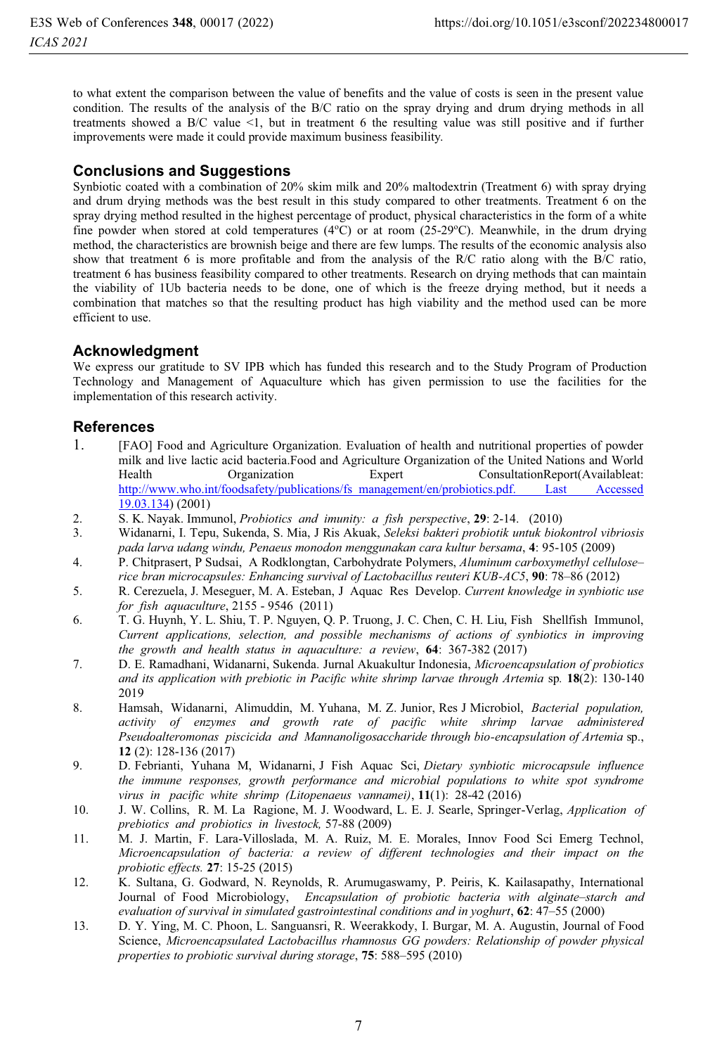to what extent the comparison between the value of benefits and the value of costs is seen in the present value condition. The results of the analysis of the B/C ratio on the spray drying and drum drying methods in all treatments showed a B/C value <1, but in treatment 6 the resulting value was still positive and if further improvements were made it could provide maximum business feasibility.

# **Conclusions and Suggestions**

Synbiotic coated with a combination of 20% skim milk and 20% maltodextrin (Treatment 6) with spray drying and drum drying methods was the best result in this study compared to other treatments. Treatment 6 on the spray drying method resulted in the highest percentage of product, physical characteristics in the form of a white fine powder when stored at cold temperatures  $(4^{\circ}C)$  or at room  $(25-29^{\circ}C)$ . Meanwhile, in the drum drying method, the characteristics are brownish beige and there are few lumps. The results of the economic analysis also show that treatment 6 is more profitable and from the analysis of the R/C ratio along with the B/C ratio, treatment 6 has business feasibility compared to other treatments. Research on drying methods that can maintain the viability of 1Ub bacteria needs to be done, one of which is the freeze drying method, but it needs a combination that matches so that the resulting product has high viability and the method used can be more efficient to use.

# **Acknowledgment**

We express our gratitude to SV IPB which has funded this research and to the Study Program of Production Technology and Management of Aquaculture which has given permission to use the facilities for the implementation of this research activity.

# **References**

- 1. [FAO] Food and Agriculture Organization. Evaluation of health and nutritional properties of powder milk and live lactic acid bacteria.Food and Agriculture Organization of the United Nations and World Health Organization Expert ConsultationReport(Availableat: http://www.who.int/foodsafety/publications/fs\_management/en/probiotics.pdf. Last Accessed 19.03.134) (2001)
- 2. S. K. Nayak. Immunol, *Probiotics and imunity: a fish perspective*, **29**: 2-14. (2010)
- 3. Widanarni, I. Tepu, Sukenda, S. Mia, J Ris Akuak, *Seleksi bakteri probiotik untuk biokontrol vibriosis pada larva udang windu, Penaeus monodon menggunakan cara kultur bersama*, **4**: 95-105 (2009)
- 4. P. Chitprasert, P Sudsai, A Rodklongtan, Carbohydrate Polymers, *Aluminum carboxymethyl cellulose– rice bran microcapsules: Enhancing survival of Lactobacillus reuteri KUB-AC5*, **90**: 78–86 (2012)
- 5. R. Cerezuela, J. Meseguer, M. A. Esteban, J Aquac Res Develop. *Current knowledge in synbiotic use for fish aquaculture*, 2155 - 9546 (2011)
- 6. T. G. Huynh, Y. L. Shiu, T. P. Nguyen, Q. P. Truong, J. C. Chen, C. H. Liu, Fish Shellfish Immunol, *Current applications, selection, and possible mechanisms of actions of synbiotics in improving the growth and health status in aquaculture: a review*, **64**: 367-382 (2017)
- 7. D. E. Ramadhani, Widanarni, Sukenda. Jurnal Akuakultur Indonesia, *Microencapsulation of probiotics and its application with prebiotic in Pacific white shrimp larvae through Artemia* sp*.* **18**(2): 130-140 2019
- 8. Hamsah, Widanarni, Alimuddin, M. Yuhana, M. Z. Junior, Res J Microbiol, *Bacterial population, activity of enzymes and growth rate of pacific white shrimp larvae administered Pseudoalteromonas piscicida and Mannanoligosaccharide through bio-encapsulation of Artemia* sp., **12** (2): 128-136 (2017)
- 9. D. Febrianti, Yuhana M, Widanarni, J Fish Aquac Sci, *Dietary synbiotic microcapsule influence the immune responses, growth performance and microbial populations to white spot syndrome virus in pacific white shrimp (Litopenaeus vannamei)*, **11**(1): 28-42 (2016)
- 10. J. W. Collins, R. M. La Ragione, M. J. Woodward, L. E. J. Searle, Springer-Verlag, *Application of prebiotics and probiotics in livestock,* 57-88 (2009)
- 11. M. J. Martin, F. Lara-Villoslada, M. A. Ruiz, M. E. Morales, Innov Food Sci Emerg Technol, *Microencapsulation of bacteria: a review of different technologies and their impact on the probiotic effects.* **27**: 15-25 (2015)
- 12. K. Sultana, G. Godward, N. Reynolds, R. Arumugaswamy, P. Peiris, K. Kailasapathy, International Journal of Food Microbiology, *Encapsulation of probiotic bacteria with alginate–starch and evaluation of survival in simulated gastrointestinal conditions and in yoghurt*, **62**: 47–55 (2000)
- 13. D. Y. Ying, M. C. Phoon, L. Sanguansri, R. Weerakkody, I. Burgar, M. A. Augustin, Journal of Food Science, *Microencapsulated Lactobacillus rhamnosus GG powders: Relationship of powder physical properties to probiotic survival during storage*, **75**: 588–595 (2010)